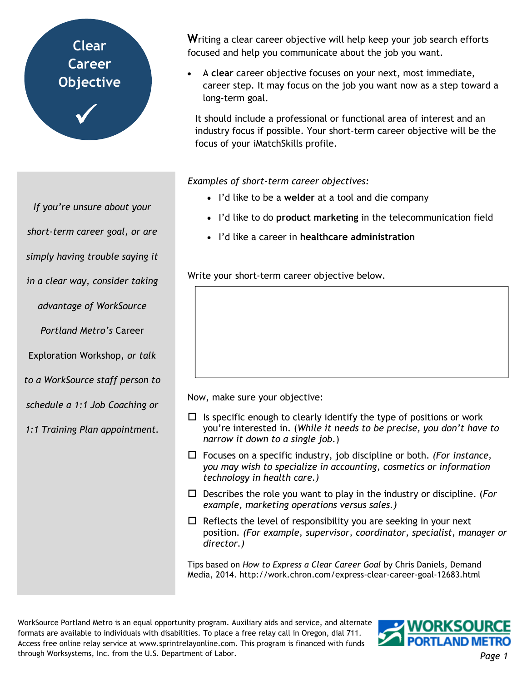# **My Clear Career Objective**  $\checkmark$

**W**riting a clear career objective will help keep your job search efforts focused and help you communicate about the job you want.

• A **clear** career objective focuses on your next, most immediate, career step. It may focus on the job you want now as a step toward a long-term goal.

It should include a professional or functional area of interest and an industry focus if possible. Your short-term career objective will be the focus of your iMatchSkills profile.

*Examples of short-term career objectives:* 

- I'd like to be a **welder** at a tool and die company
- I'd like to do **product marketing** in the telecommunication field
- I'd like a career in **healthcare administration**

Write your short-term career objective below.

Now, make sure your objective:

- $\Box$  Is specific enough to clearly identify the type of positions or work you're interested in. (*While it needs to be precise, you don't have to narrow it down to a single job.*)
- □ Focuses on a specific industry, job discipline or both. (For instance, *you may wish to specialize in accounting, cosmetics or information technology in health care.)*
- □ Describes the role you want to play in the industry or discipline. (For *example, marketing operations versus sales.)*
- $\Box$  Reflects the level of responsibility you are seeking in your next position*. (For example, supervisor, coordinator, specialist, manager or director.)*

Tips based on *How to Express a Clear Career Goal* by Chris Daniels, Demand Media, 2014. http://work.chron.com/express-clear-career-goal-12683.html

WorkSource Portland Metro is an equal opportunity program. Auxiliary aids and service, and alternate formats are available to individuals with disabilities. To place a free relay call in Oregon, dial 711. Access free online relay service at www.sprintrelayonline.com. This program is financed with funds through Worksystems, Inc. from the U.S. Department of Labor.



*If you're unsure about your short-term career goal, or are simply having trouble saying it in a clear way, consider taking advantage of WorkSource Portland Metro's* Career Exploration Workshop, *or talk to a WorkSource staff person to schedule a 1:1 Job Coaching or 1:1 Training Plan appointment.*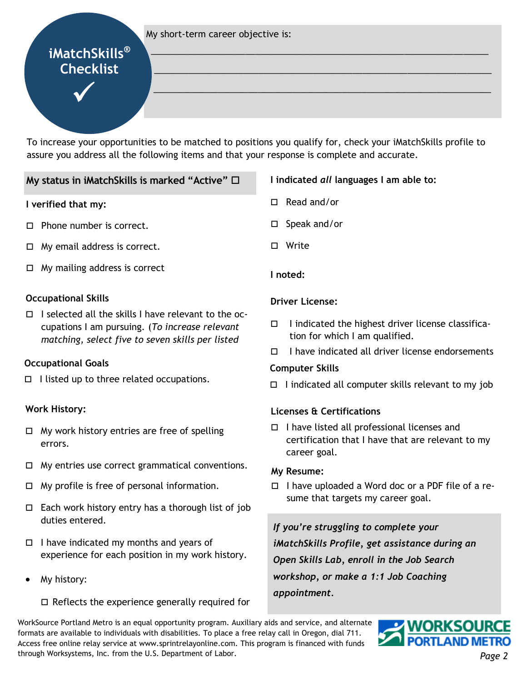#### My short-term career objective is:

# **iMatchSkills® Checklist**  $\bigvee$

To increase your opportunities to be matched to positions you qualify for, check your iMatchSkills profile to assure you address all the following items and that your response is complete and accurate.

# **My status in iMatchSkills is marked "Active"**  $\Box$

#### **I verified that my:**

- □ Phone number is correct.
- □ My email address is correct.
- □ My mailing address is correct

## **Occupational Skills**

□ I selected all the skills I have relevant to the occupations I am pursuing. (*To increase relevant matching, select five to seven skills per listed* 

## **Occupational Goals**

□ I listed up to three related occupations.

#### **Work History:**

- □ My work history entries are free of spelling errors.
- □ My entries use correct grammatical conventions.
- □ My profile is free of personal information.
- □ Each work history entry has a thorough list of job duties entered.
- □ I have indicated my months and years of experience for each position in my work history.
- My history:

#### □ Reflects the experience generally required for

# **I indicated** *all* **languages I am able to:**

□ Read and/or

\_\_\_\_\_\_\_\_\_\_\_\_\_\_\_\_\_\_\_\_\_\_\_\_\_\_\_\_\_\_\_\_\_\_\_\_\_\_\_\_\_\_\_\_\_\_\_\_\_\_\_\_\_\_\_\_\_\_\_\_\_\_\_\_\_\_\_\_

 $\_$  , and the set of the set of the set of the set of the set of the set of the set of the set of the set of the set of the set of the set of the set of the set of the set of the set of the set of the set of the set of th

\_\_\_\_\_\_\_\_\_\_\_\_\_\_\_\_\_\_\_\_\_\_\_\_\_\_\_\_\_\_\_\_\_\_\_\_\_\_\_\_\_\_\_\_\_\_\_\_\_\_\_\_\_\_\_\_\_\_\_\_\_\_\_\_\_\_\_\_

- □ Speak and/or
- □ Write
- **I noted:**

#### **Driver License:**

- □ I indicated the highest driver license classification for which I am qualified.
- □ I have indicated all driver license endorsements

#### **Computer Skills**

□ I indicated all computer skills relevant to my job

#### **Licenses & Certifications**

□ I have listed all professional licenses and certification that I have that are relevant to my career goal.

#### **My Resume:**

□ I have uploaded a Word doc or a PDF file of a resume that targets my career goal.

*If you're struggling to complete your iMatchSkills Profile, get assistance during an Open Skills Lab, enroll in the Job Search workshop, or make a 1:1 Job Coaching appointment.* 

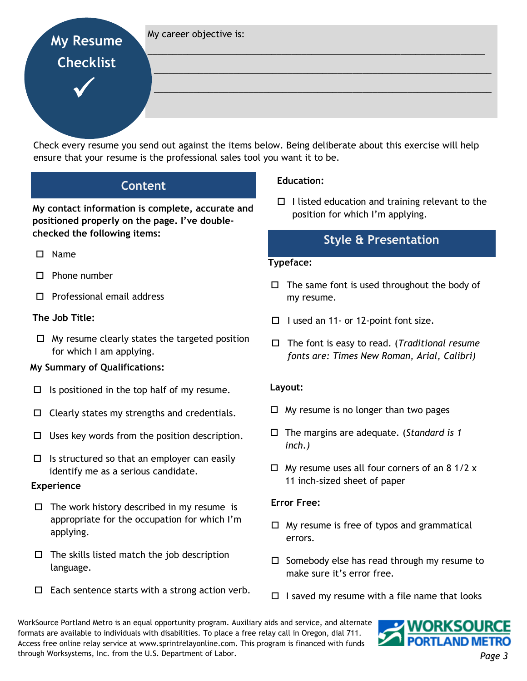My career objective is:

# **My Resume Checklist**

 $\checkmark$ 

Check every resume you send out against the items below. Being deliberate about this exercise will help ensure that your resume is the professional sales tool you want it to be.

# **Content**

**My contact information is complete, accurate and positioned properly on the page. I've doublechecked the following items:** 

- Name
- □ Phone number
- □ Professional email address

# **The Job Title:**

 $\Box$  My resume clearly states the targeted position for which I am applying.

# **My Summary of Qualifications:**

- $\Box$  Is positioned in the top half of my resume.
- $\Box$  Clearly states my strengths and credentials.
- $\Box$  Uses key words from the position description.
- $\Box$  Is structured so that an employer can easily identify me as a serious candidate.

## **Experience**

- □ The work history described in my resume is appropriate for the occupation for which I'm applying.
- □ The skills listed match the job description language.
- $\Box$  Each sentence starts with a strong action verb.

# **Education:**

\_\_\_\_\_\_\_\_\_\_\_\_\_\_\_\_\_\_\_\_\_\_\_\_\_\_\_\_\_\_\_\_\_\_\_\_\_\_\_\_\_\_\_\_\_\_\_\_\_\_\_\_\_\_\_\_\_\_\_\_\_\_\_\_\_\_\_\_

\_\_\_\_\_\_\_\_\_\_\_\_\_\_\_\_\_\_\_\_\_\_\_\_\_\_\_\_\_\_\_\_\_\_\_\_\_\_\_\_\_\_\_\_\_\_\_\_\_\_\_\_\_\_\_\_\_\_\_\_\_\_\_\_\_\_\_\_

\_\_\_\_\_\_\_\_\_\_\_\_\_\_\_\_\_\_\_\_\_\_\_\_\_\_\_\_\_\_\_\_\_\_\_\_\_\_\_\_\_\_\_\_\_\_\_\_\_\_\_\_\_\_\_\_\_\_\_\_\_\_\_\_\_\_\_\_

□ I listed education and training relevant to the position for which I'm applying.

# **Style & Presentation**

#### **Typeface:**

- $\Box$  The same font is used throughout the body of my resume.
- □ I used an 11- or 12-point font size.
- □ The font is easy to read. (*Traditional resume fonts are: Times New Roman, Arial, Calibri)*

## **Layout:**

- □ My resume is no longer than two pages
- □ The margins are adequate. (Standard is 1 *inch.)*
- $\Box$  My resume uses all four corners of an 8 1/2 x 11 inch-sized sheet of paper

## **Error Free:**

- □ My resume is free of typos and grammatical errors.
- □ Somebody else has read through my resume to make sure it's error free.
- $\Box$  I saved my resume with a file name that looks

WorkSource Portland Metro is an equal opportunity program. Auxiliary aids and service, and alternate formats are available to individuals with disabilities. To place a free relay call in Oregon, dial 711. Access free online relay service at www.sprintrelayonline.com. This program is financed with funds through Worksystems, Inc. from the U.S. Department of Labor.

**WORKSOURCE PORTLAND METRO**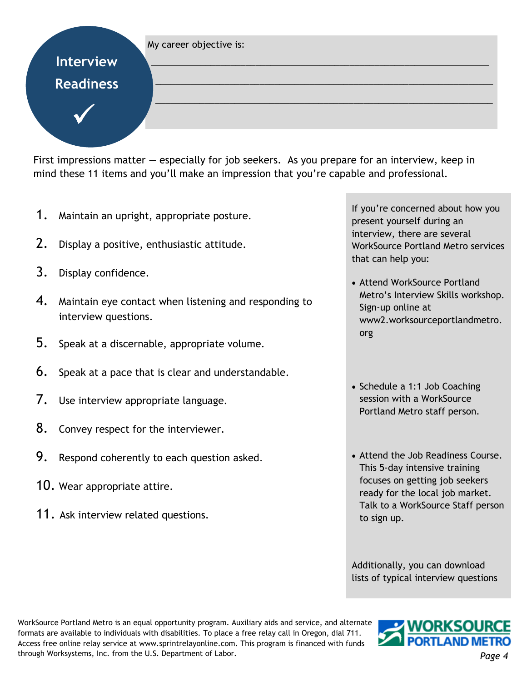#### My career objective is:

**Interview Readiness** 

 $\checkmark$ 

**My Resume** 

First impressions matter — especially for job seekers. As you prepare for an interview, keep in mind these 11 items and you'll make an impression that you're capable and professional.

\_\_\_\_\_\_\_\_\_\_\_\_\_\_\_\_\_\_\_\_\_\_\_\_\_\_\_\_\_\_\_\_\_\_\_\_\_\_\_\_\_\_\_\_\_\_\_\_\_\_\_\_\_\_\_\_\_\_\_\_\_\_\_\_\_\_\_\_

\_\_\_\_\_\_\_\_\_\_\_\_\_\_\_\_\_\_\_\_\_\_\_\_\_\_\_\_\_\_\_\_\_\_\_\_\_\_\_\_\_\_\_\_\_\_\_\_\_\_\_\_\_\_\_\_\_\_\_\_\_\_\_\_\_\_\_\_

\_\_\_\_\_\_\_\_\_\_\_\_\_\_\_\_\_\_\_\_\_\_\_\_\_\_\_\_\_\_\_\_\_\_\_\_\_\_\_\_\_\_\_\_\_\_\_\_\_\_\_\_\_\_\_\_\_\_\_\_\_\_\_\_\_\_\_\_

- 1. Maintain an upright, appropriate posture.
- 2. Display a positive, enthusiastic attitude.
- 3. Display confidence.
- 4. Maintain eye contact when listening and responding to interview questions.
- 5. Speak at a discernable, appropriate volume.
- 6. Speak at a pace that is clear and understandable.
- 7. Use interview appropriate language.
- 8. Convey respect for the interviewer.
- 9. Respond coherently to each question asked.
- 10. Wear appropriate attire.
- 11. Ask interview related questions.

If you're concerned about how you present yourself during an interview, there are several WorkSource Portland Metro services that can help you:

- Attend WorkSource Portland Metro's Interview Skills workshop. Sign-up online at www2.worksourceportlandmetro. org
- Schedule a 1:1 Job Coaching session with a WorkSource Portland Metro staff person.
- Attend the Job Readiness Course. This 5-day intensive training focuses on getting job seekers ready for the local job market. Talk to a WorkSource Staff person to sign up.

Additionally, you can download lists of typical interview questions

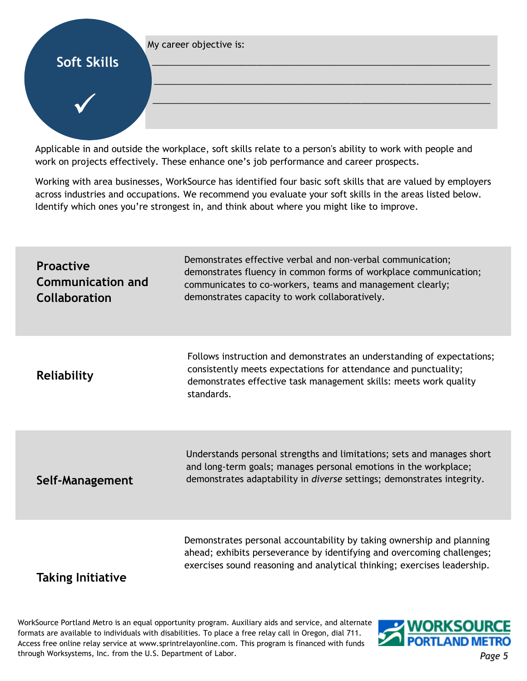#### My career objective is: \_\_\_\_\_\_\_\_\_\_\_\_\_\_\_\_\_\_\_\_\_\_\_\_\_\_\_\_\_\_\_\_\_\_\_\_\_\_\_\_\_\_\_\_\_\_\_\_\_\_\_\_\_\_\_\_\_\_\_\_\_\_\_\_\_\_\_\_ **Soft Skills**

 $\checkmark$ 

Applicable in and outside the workplace, soft skills relate to a person's ability to work with people and work on projects effectively. These enhance one's job performance and career prospects.

Working with area businesses, WorkSource has identified four basic soft skills that are valued by employers across industries and occupations. We recommend you evaluate your soft skills in the areas listed below. Identify which ones you're strongest in, and think about where you might like to improve.

 $\_$  , and the set of the set of the set of the set of the set of the set of the set of the set of the set of the set of the set of the set of the set of the set of the set of the set of the set of the set of the set of th

\_\_\_\_\_\_\_\_\_\_\_\_\_\_\_\_\_\_\_\_\_\_\_\_\_\_\_\_\_\_\_\_\_\_\_\_\_\_\_\_\_\_\_\_\_\_\_\_\_\_\_\_\_\_\_\_\_\_\_\_\_\_\_\_\_\_\_\_

| <b>Proactive</b><br><b>Communication and</b><br><b>Collaboration</b> | Demonstrates effective verbal and non-verbal communication;<br>demonstrates fluency in common forms of workplace communication;<br>communicates to co-workers, teams and management clearly;<br>demonstrates capacity to work collaboratively. |
|----------------------------------------------------------------------|------------------------------------------------------------------------------------------------------------------------------------------------------------------------------------------------------------------------------------------------|
| Reliability                                                          | Follows instruction and demonstrates an understanding of expectations;<br>consistently meets expectations for attendance and punctuality;<br>demonstrates effective task management skills: meets work quality<br>standards.                   |
| Self-Management                                                      | Understands personal strengths and limitations; sets and manages short<br>and long-term goals; manages personal emotions in the workplace;<br>demonstrates adaptability in diverse settings; demonstrates integrity.                           |
| <b>Taking Initiative</b>                                             | Demonstrates personal accountability by taking ownership and planning<br>ahead; exhibits perseverance by identifying and overcoming challenges;<br>exercises sound reasoning and analytical thinking; exercises leadership.                    |